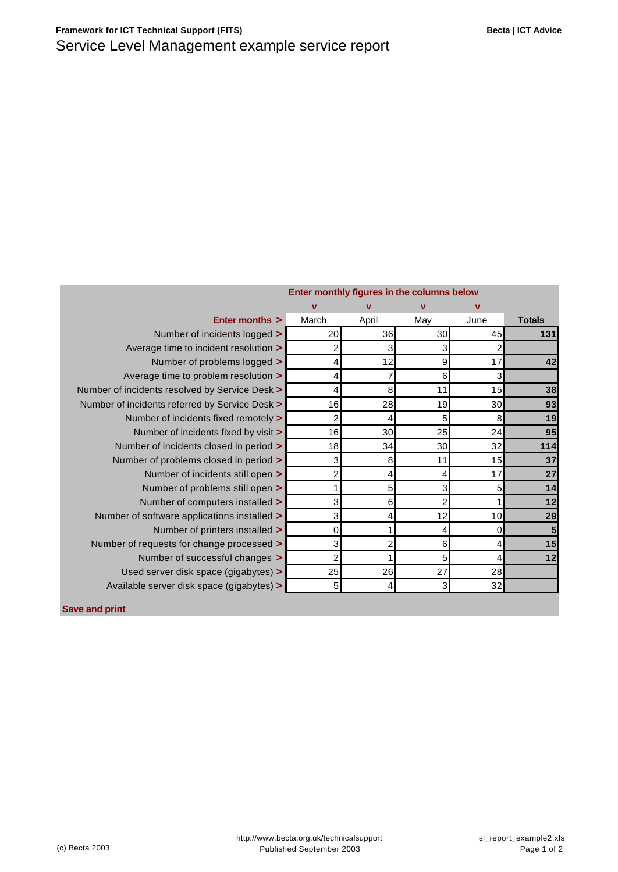|                                                | Enter monthly figures in the columns below |       |                |                |               |
|------------------------------------------------|--------------------------------------------|-------|----------------|----------------|---------------|
|                                                | v                                          | v     | v              | v              |               |
| Enter months >                                 | March                                      | April | May            | June           | <b>Totals</b> |
| Number of incidents logged >                   | 20                                         | 36    | 30             | 45             | 131           |
| Average time to incident resolution >          | 2                                          | 3     | 3              | $\overline{2}$ |               |
| Number of problems logged >                    | 4                                          | 12    | 9              | 17             | 42            |
| Average time to problem resolution >           | 4                                          |       | 6              | 3              |               |
| Number of incidents resolved by Service Desk > | 4                                          | 8     | 11             | 15             | 38            |
| Number of incidents referred by Service Desk > | 16                                         | 28    | 19             | 30             | 93            |
| Number of incidents fixed remotely >           | 2                                          | 4     | 5              | 8              | 19            |
| Number of incidents fixed by visit >           | 16                                         | 30    | 25             | 24             | 95            |
| Number of incidents closed in period >         | 18                                         | 34    | 30             | 32             | 114           |
| Number of problems closed in period >          | 3                                          | 8     | 11             | 15             | 37            |
| Number of incidents still open >               | 2                                          | 4     | 4              | 17             | 27            |
| Number of problems still open >                |                                            | 5     | 3              | 5              | 14            |
| Number of computers installed >                | 3                                          | 6     | $\overline{c}$ |                | 12            |
| Number of software applications installed >    | 3                                          | 4     | 12             | 10             | 29            |
| Number of printers installed >                 | $\mathbf 0$                                |       | 4              | 0              | 5             |
| Number of requests for change processed >      | 3                                          | 2     | 6              | 4              | 15            |
| Number of successful changes >                 | 2                                          |       | 5              | 4              | 12            |
| Used server disk space (gigabytes) >           | 25                                         | 26    | 27             | 28             |               |
| Available server disk space (gigabytes) >      | 5 <sub>l</sub>                             | 4     | 3              | 32             |               |
|                                                |                                            |       |                |                |               |

## **Save and print**